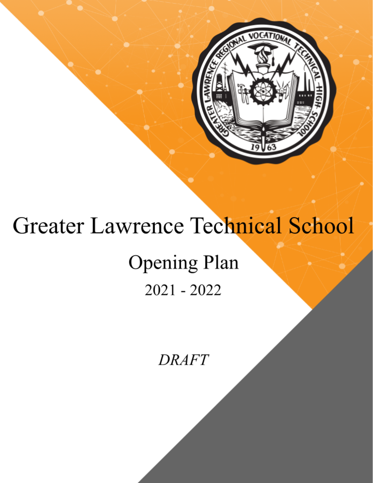

# **Greater Lawrence Technical School**

## **Opening Plan**  $2021 - 2022$

**DRAFT**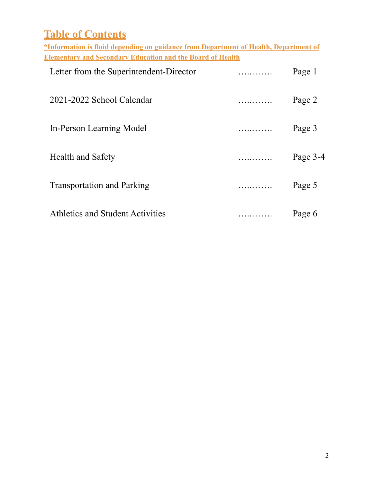| <b>Table of Contents</b>                                                                    |   |          |
|---------------------------------------------------------------------------------------------|---|----------|
| <u>*Information is fluid depending on guidance from Department of Health, Department of</u> |   |          |
| <b>Elementary and Secondary Education and the Board of Health</b>                           |   |          |
| Letter from the Superintendent-Director                                                     | . | Page 1   |
| 2021-2022 School Calendar                                                                   | . | Page 2   |
| In-Person Learning Model                                                                    | . | Page 3   |
| <b>Health and Safety</b>                                                                    |   | Page 3-4 |
| <b>Transportation and Parking</b>                                                           | . | Page 5   |
| Athletics and Student Activities                                                            | . | Page 6   |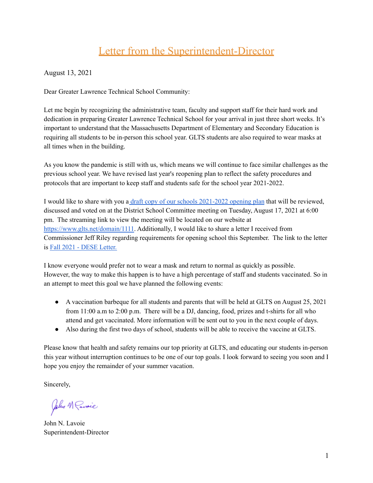## Letter from the Superintendent-Director

August 13, 2021

Dear Greater Lawrence Technical School Community:

Let me begin by recognizing the administrative team, faculty and support staff for their hard work and dedication in preparing Greater Lawrence Technical School for your arrival in just three short weeks. It's important to understand that the Massachusetts Department of Elementary and Secondary Education is requiring all students to be in-person this school year. GLTS students are also required to wear masks at all times when in the building.

As you know the pandemic is still with us, which means we will continue to face similar challenges as the previous school year. We have revised last year's reopening plan to reflect the safety procedures and protocols that are important to keep staff and students safe for the school year 2021-2022.

I would like to share with you a draft copy of our schools [2021-2022](https://www.glts.net/Page/4617) opening plan that will be reviewed, discussed and voted on at the District School Committee meeting on Tuesday, August 17, 2021 at 6:00 pm. The streaming link to view the meeting will be located on our website at <https://www.glts.net/domain/1111>. Additionally, I would like to share a letter I received from Commissioner Jeff Riley regarding requirements for opening school this September. The link to the letter is Fall 2021 - DESE [Letter.](https://www.doe.mass.edu/covid19/on-desktop/2021-0730fall-2021-covid19-guidance.pdf)

I know everyone would prefer not to wear a mask and return to normal as quickly as possible. However, the way to make this happen is to have a high percentage of staff and students vaccinated. So in an attempt to meet this goal we have planned the following events:

- A vaccination barbeque for all students and parents that will be held at GLTS on August 25, 2021 from 11:00 a.m to 2:00 p.m. There will be a DJ, dancing, food, prizes and t-shirts for all who attend and get vaccinated. More information will be sent out to you in the next couple of days.
- Also during the first two days of school, students will be able to receive the vaccine at GLTS.

Please know that health and safety remains our top priority at GLTS, and educating our students in-person this year without interruption continues to be one of our top goals. I look forward to seeing you soon and I hope you enjoy the remainder of your summer vacation.

Sincerely,

John M Pavoic

John N. Lavoie Superintendent-Director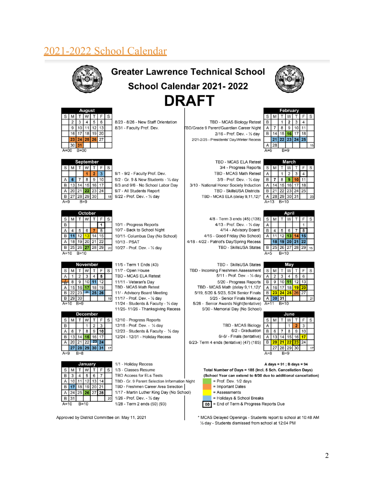## 2021-2022 School Calendar



## **Greater Lawrence Technical School** School Calendar 2021-2022 **DRAFT**



|   | August |                 |   |          |   |   |  |  |  |  |  |
|---|--------|-----------------|---|----------|---|---|--|--|--|--|--|
| S | M      |                 | W |          | F | S |  |  |  |  |  |
|   | 2      | 3               | 4 | 5        | 6 |   |  |  |  |  |  |
|   | 9      | 10 <sub>1</sub> |   | 11 12 13 |   |   |  |  |  |  |  |
|   |        | 16 17           |   | 18 19 20 |   |   |  |  |  |  |  |
|   | 23     | 24 25 26 27     |   |          |   |   |  |  |  |  |  |
|   | 30     |                 |   |          |   |   |  |  |  |  |  |
|   |        |                 |   |          |   |   |  |  |  |  |  |

| September |   |       |   |                |    |   |  |  |  |
|-----------|---|-------|---|----------------|----|---|--|--|--|
| $\rm s$   | M |       | W |                | F  | S |  |  |  |
|           |   |       |   |                | 3  |   |  |  |  |
|           | 6 |       | 8 | 9              | 10 |   |  |  |  |
| B         |   |       |   | 13 14 15 16 17 |    |   |  |  |  |
|           |   |       |   | 20 21 22 23 24 |    |   |  |  |  |
|           |   |       |   | 27 28 29 30    |    |   |  |  |  |
|           |   | $B=9$ |   |                |    |   |  |  |  |

|   | October |      |   |                |    |   |  |  |  |
|---|---------|------|---|----------------|----|---|--|--|--|
| S |         | т    | W |                | F  | S |  |  |  |
| B |         |      |   |                |    |   |  |  |  |
|   |         | 5    | 6 |                | 8  |   |  |  |  |
| B |         | 12   | 3 |                | 15 |   |  |  |  |
|   | 18      |      |   | 19 20 21 22    |    |   |  |  |  |
|   |         |      |   | 25 26 27 28 29 |    |   |  |  |  |
|   |         | B=10 |   |                |    |   |  |  |  |

| November      |   |                |              |       |    |   |  |  |
|---------------|---|----------------|--------------|-------|----|---|--|--|
| ${\mathbb S}$ |   | ΤI             | W.           |       | F  | S |  |  |
|               |   | 2 <sub>1</sub> | $\mathbf{3}$ |       | 5  |   |  |  |
|               | 8 | $\overline{9}$ | 10           |       | 12 |   |  |  |
|               |   | 15 16 17       |              | 18    | 19 |   |  |  |
| B             |   | $22$ 23        |              | 25 26 |    |   |  |  |
|               |   | 30             |              |       |    |   |  |  |
|               |   | $B=9$          |              |       |    |   |  |  |

|   | <b>December</b> |    |    |             |    |   |  |  |  |
|---|-----------------|----|----|-------------|----|---|--|--|--|
| S |                 |    |    |             |    | S |  |  |  |
| B |                 |    |    | 2           | 3  |   |  |  |  |
|   | 6               |    | 8  |             |    |   |  |  |  |
| B | 13              |    |    |             |    |   |  |  |  |
|   | 20              | 21 | 22 | 49          | 24 |   |  |  |  |
|   | 27              |    |    | 28 29 30 31 |    |   |  |  |  |
|   |                 |    |    |             |    |   |  |  |  |

| January |        |  |   | 1/1 - Holiday Recess |    |                                                |  |
|---------|--------|--|---|----------------------|----|------------------------------------------------|--|
|         |        |  |   |                      | S  | 1/3 - Classes Resume                           |  |
| B       |        |  | 5 | 6                    |    | <b>TBD Access for ELs Tests</b>                |  |
|         |        |  |   |                      |    | TBD - Gr. 9 Parent Selection Information Night |  |
| В       |        |  |   |                      |    | TBD - Freshmen Career Area Selection           |  |
|         |        |  |   |                      |    | 1/17 - Martin Luther King Day (No School)      |  |
|         |        |  |   |                      | 20 | 1/26 - Prof. Dev. - 1/2 day                    |  |
|         | $B=10$ |  |   |                      |    | 1/28 - Term 2 ends (50) (93)                   |  |

9/1 - 9/2 - Faculty Prof. Dev. 9/2 - Gr. 9 & New Students - 1/2 day 9/3 and 9/6 - No School Labor Day 9/7 - All Students Report

8/23 - 8/26 - New Staff Orientation

8/31 - Faculty Prof. Dev.

9/22 - Prof. Dev. - 1/2 day

10/1 - Progress Reports 10/7 - Back to School Night

10/27 - Prof. Dev. - 1/2 day

11/5 - Term 1 Ends (43)

TBD - MCAS ELA Retest 11/11 - Veteran's Day

TBD - MCAS Math Retest

12/10 - Progress Reports 12/15 - Prof. Dev. - 1/2 day

11/ - Advisory Board Meeting 11/17 - Prof. Dev. - 1/2 day

11/24 - Students & Faculty - 1/2 day

11/25-11/26 - Thanksgiving Recess

12/23 - Students & Faculty - 1/2 day

12/24 - 12/31 - Holiday Recess

11/7 - Open House

10/13 - PSAT

10/11- Columbus Day (No School)

BD/Grade 9 Parent/Guardian Career Night 2/16 - Prof. Dev. - 1/2 day 2/21-2/25 - Presidents' Day/Winter Recess

TBD - MCAS Biology Retest

TBD - MCAS ELA Retest 3/4 - Progress Reports TBD - MCAS Math Retest 3/9 - Prof. Dev. - 1/2 day 3/10 - National Honor Society Induction **TBD - SkillsUSA Districts** TBD - MCAS ELA (delay 9,11,12)\*

4/8 - Term 3 ends (45) (138) 4/13 - Prof. Dev. - 1/2 day 4/14 - Advisory Board 4/15 - Good Friday (No School) 4/18 - 4/22 - Patriot's Day/Spring Recess TBD - SkillsUSA States

TBD - SkillsUSA States TBD - Incoming Freshmen Assessment 5/11 - Prof. Dev. - 1/2 day 5/20 - Progress Reports TBD - MCAS Math (delay 9.11.12)\* 5/19, 5/20 & 5/23, 5/24 Senior Finals 5/25 - Senior Finals Makeup 5/26 - Senior Awards Night(tentative) 5/30 - Memorial Day (No School)

**TBD - MCAS Biology** 6/2 - Graduation 6/-6/ - Finals (tentative) 6/23- Term 4 ends (tentative) (47) (185)

| February |    |       |                         |       |    |   |  |  |  |
|----------|----|-------|-------------------------|-------|----|---|--|--|--|
| S        | М  |       |                         |       | F  | S |  |  |  |
| B        |    |       | $\overline{\mathbf{2}}$ | 3     | 4  |   |  |  |  |
|          |    | 8     | 9                       | 10    |    |   |  |  |  |
| B        |    | 15    | 16                      | 17    | 18 |   |  |  |  |
|          | 21 | 22 23 |                         | 24 25 |    |   |  |  |  |
|          | 28 |       |                         |       |    |   |  |  |  |
|          |    |       |                         |       |    |   |  |  |  |

| <b>Aarch</b> |    |   |    |                            |   |  |  |  |
|--------------|----|---|----|----------------------------|---|--|--|--|
|              |    |   |    |                            | S |  |  |  |
|              |    | 2 |    |                            |   |  |  |  |
|              | 8  |   |    |                            |   |  |  |  |
|              | 15 |   | 17 | 18                         |   |  |  |  |
|              |    |   |    | 25                         |   |  |  |  |
|              |    |   |    |                            |   |  |  |  |
|              |    |   |    | 16<br>22 23 24<br>29 30 31 |   |  |  |  |

| S |    |        |    |                | F            | S |  |  |  |  |
|---|----|--------|----|----------------|--------------|---|--|--|--|--|
| Α |    |        |    |                |              |   |  |  |  |  |
| B |    | 5      | 6  |                | $\bf \bar 8$ |   |  |  |  |  |
|   |    | 12     | 13 |                |              |   |  |  |  |  |
|   | 18 |        |    | $19$ 20 21     | 22           |   |  |  |  |  |
| B |    |        |    | 25 26 27 28 29 |              |   |  |  |  |  |
|   |    | $B=10$ |    |                |              |   |  |  |  |  |

|                | Mav |            |                |               |   |   |  |  |  |  |  |
|----------------|-----|------------|----------------|---------------|---|---|--|--|--|--|--|
| $\mathsf{s}$   | M.  |            | T   W          | $T \mid$      | F | S |  |  |  |  |  |
| A              | 2   | 3          | $\overline{4}$ | 5             | 6 |   |  |  |  |  |  |
| B              | 9   |            |                | $10$ 11 12 13 |   |   |  |  |  |  |  |
| А              |     | $16$ 17 18 |                | $19$ 20       |   |   |  |  |  |  |  |
| $\overline{B}$ |     | 23 24      |                | 25 26 27      |   |   |  |  |  |  |  |
| $\overline{A}$ |     | 31         |                |               |   |   |  |  |  |  |  |
|                |     | $B=10$     |                |               |   |   |  |  |  |  |  |

| une |       |   |          |    |    |   |  |  |
|-----|-------|---|----------|----|----|---|--|--|
| S   |       |   |          |    |    | S |  |  |
|     |       |   |          |    | 3  |   |  |  |
| B   | 6     |   | 8        | g  |    |   |  |  |
|     | 13    |   | 15       | 16 |    |   |  |  |
| B   | 2     | ⋗ | 22       | 23 | 24 |   |  |  |
|     | 27    |   | 28 29 30 |    |    |   |  |  |
|     | $B=9$ |   |          |    |    |   |  |  |

A days =  $91$ ; B days =  $94$ Total Number of Days = 185 (Incl. 5 Sch. Cancellation Days) (School Year can extend to 6/30 due to additional cancellation) = Prof. Dev. 1/2 days



= Holidays & School Breaks

 $\boxed{00}$  = End of Term & Progress Reports Due

\* MCAS Delayed Openings - Students report to school at 10:48 AM 1/2 day - Students dismissed from school at 12:04 PM

Approved by District Committee on: May 11, 2021

 $\overline{2}$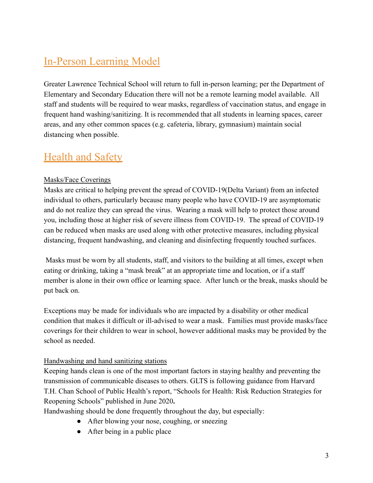## In-Person Learning Model

Greater Lawrence Technical School will return to full in-person learning; per the Department of Elementary and Secondary Education there will not be a remote learning model available. All staff and students will be required to wear masks, regardless of vaccination status, and engage in frequent hand washing/sanitizing. It is recommended that all students in learning spaces, career areas, and any other common spaces (e.g. cafeteria, library, gymnasium) maintain social distancing when possible.

## Health and Safety

#### Masks/Face Coverings

Masks are critical to helping prevent the spread of COVID-19(Delta Variant) from an infected individual to others, particularly because many people who have COVID-19 are asymptomatic and do not realize they can spread the virus. Wearing a mask will help to protect those around you, including those at higher risk of severe illness from COVID-19. The spread of COVID-19 can be reduced when masks are used along with other protective measures, including physical distancing, frequent handwashing, and cleaning and disinfecting frequently touched surfaces.

Masks must be worn by all students, staff, and visitors to the building at all times, except when eating or drinking, taking a "mask break" at an appropriate time and location, or if a staff member is alone in their own office or learning space. After lunch or the break, masks should be put back on.

Exceptions may be made for individuals who are impacted by a disability or other medical condition that makes it difficult or ill-advised to wear a mask. Families must provide masks/face coverings for their children to wear in school, however additional masks may be provided by the school as needed.

#### Handwashing and hand sanitizing stations

Keeping hands clean is one of the most important factors in staying healthy and preventing the transmission of communicable diseases to others. GLTS is following guidance from Harvard T.H. Chan School of Public Health's report, "Schools for Health: Risk Reduction Strategies for Reopening Schools" published in June 2020**.**

Handwashing should be done frequently throughout the day, but especially:

- After blowing your nose, coughing, or sneezing
- After being in a public place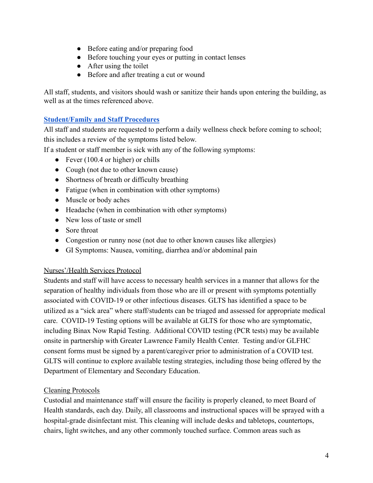- Before eating and/or preparing food
- Before touching your eyes or putting in contact lenses
- $\bullet$  After using the toilet
- Before and after treating a cut or wound

All staff, students, and visitors should wash or sanitize their hands upon entering the building, as well as at the times referenced above.

#### **[Student/Family and Staff Procedures](https://docs.google.com/document/d/1HpA9pzH3Ejou3r28zuHi5iPLBSN9d6xm2Ac-ck-KIRw/edit?usp=sharing)**

All staff and students are requested to perform a daily wellness check before coming to school; this includes a review of the symptoms listed below.

If a student or staff member is sick with any of the following symptoms:

- Fever  $(100.4 \text{ or higher})$  or chills
- Cough (not due to other known cause)
- Shortness of breath or difficulty breathing
- Fatigue (when in combination with other symptoms)
- Muscle or body aches
- Headache (when in combination with other symptoms)
- New loss of taste or smell
- Sore throat
- Congestion or runny nose (not due to other known causes like allergies)
- GI Symptoms: Nausea, vomiting, diarrhea and/or abdominal pain

#### Nurses'/Health Services Protocol

Students and staff will have access to necessary health services in a manner that allows for the separation of healthy individuals from those who are ill or present with symptoms potentially associated with COVID-19 or other infectious diseases. GLTS has identified a space to be utilized as a "sick area" where staff/students can be triaged and assessed for appropriate medical care. COVID-19 Testing options will be available at GLTS for those who are symptomatic, including Binax Now Rapid Testing. Additional COVID testing (PCR tests) may be available onsite in partnership with Greater Lawrence Family Health Center. Testing and/or GLFHC consent forms must be signed by a parent/caregiver prior to administration of a COVID test. GLTS will continue to explore available testing strategies, including those being offered by the Department of Elementary and Secondary Education.

#### Cleaning Protocols

Custodial and maintenance staff will ensure the facility is properly cleaned, to meet Board of Health standards, each day. Daily, all classrooms and instructional spaces will be sprayed with a hospital-grade disinfectant mist. This cleaning will include desks and tabletops, countertops, chairs, light switches, and any other commonly touched surface. Common areas such as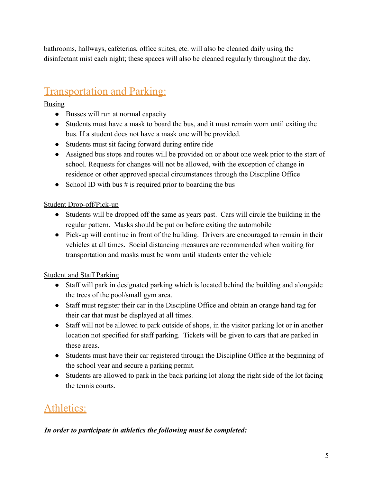bathrooms, hallways, cafeterias, office suites, etc. will also be cleaned daily using the disinfectant mist each night; these spaces will also be cleaned regularly throughout the day.

## Transportation and Parking:

**Busing** 

- Busses will run at normal capacity
- Students must have a mask to board the bus, and it must remain worn until exiting the bus. If a student does not have a mask one will be provided.
- Students must sit facing forward during entire ride
- Assigned bus stops and routes will be provided on or about one week prior to the start of school. Requests for changes will not be allowed, with the exception of change in residence or other approved special circumstances through the Discipline Office
- School ID with bus  $\#$  is required prior to boarding the bus

#### Student Drop-off/Pick-up

- Students will be dropped off the same as years past. Cars will circle the building in the regular pattern. Masks should be put on before exiting the automobile
- Pick-up will continue in front of the building. Drivers are encouraged to remain in their vehicles at all times. Social distancing measures are recommended when waiting for transportation and masks must be worn until students enter the vehicle

### Student and Staff Parking

- Staff will park in designated parking which is located behind the building and alongside the trees of the pool/small gym area.
- Staff must register their car in the Discipline Office and obtain an orange hand tag for their car that must be displayed at all times.
- Staff will not be allowed to park outside of shops, in the visitor parking lot or in another location not specified for staff parking. Tickets will be given to cars that are parked in these areas.
- Students must have their car registered through the Discipline Office at the beginning of the school year and secure a parking permit.
- Students are allowed to park in the back parking lot along the right side of the lot facing the tennis courts.

## Athletics:

#### *In order to participate in athletics the following must be completed:*